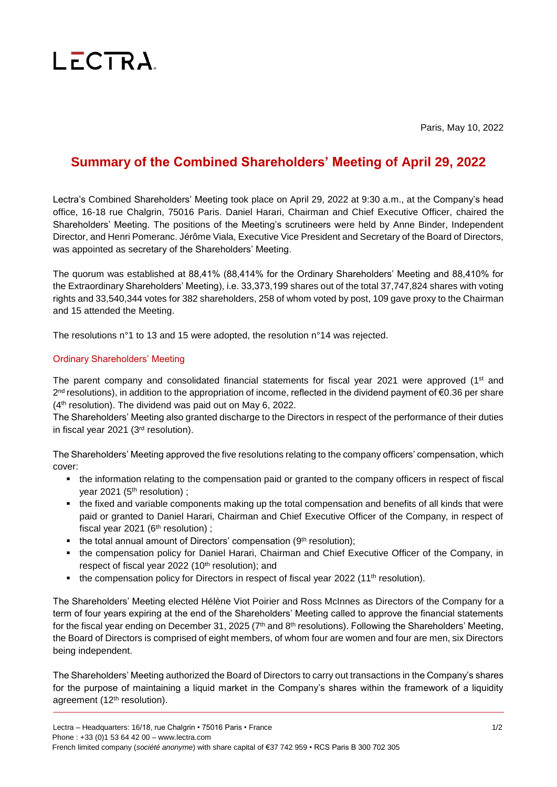## $L$   $\overline{C}$   $\overline{C}$   $\overline{R}$   $\overline{A}$

Paris, May 10, 2022

## **Summary of the Combined Shareholders' Meeting of April 29, 2022**

Lectra's Combined Shareholders' Meeting took place on April 29, 2022 at 9:30 a.m., at the Company's head office, 16-18 rue Chalgrin, 75016 Paris. Daniel Harari, Chairman and Chief Executive Officer, chaired the Shareholders' Meeting. The positions of the Meeting's scrutineers were held by Anne Binder, Independent Director, and Henri Pomeranc. Jérôme Viala, Executive Vice President and Secretary of the Board of Directors, was appointed as secretary of the Shareholders' Meeting.

The quorum was established at 88,41% (88,414% for the Ordinary Shareholders' Meeting and 88,410% for the Extraordinary Shareholders' Meeting), i.e. 33,373,199 shares out of the total 37,747,824 shares with voting rights and 33,540,344 votes for 382 shareholders, 258 of whom voted by post, 109 gave proxy to the Chairman and 15 attended the Meeting.

The resolutions n°1 to 13 and 15 were adopted, the resolution n°14 was rejected.

## Ordinary Shareholders' Meeting

The parent company and consolidated financial statements for fiscal year 2021 were approved (1<sup>st</sup> and 2<sup>nd</sup> resolutions), in addition to the appropriation of income, reflected in the dividend payment of €0.36 per share  $(4<sup>th</sup>$  resolution). The dividend was paid out on May 6, 2022.

The Shareholders' Meeting also granted discharge to the Directors in respect of the performance of their duties in fiscal year 2021 (3rd resolution).

The Shareholders' Meeting approved the five resolutions relating to the company officers' compensation, which cover:

- the information relating to the compensation paid or granted to the company officers in respect of fiscal year 2021 (5<sup>th</sup> resolution);
- the fixed and variable components making up the total compensation and benefits of all kinds that were paid or granted to Daniel Harari, Chairman and Chief Executive Officer of the Company, in respect of fiscal year 2021 ( $6<sup>th</sup>$  resolution) ;
- $\blacksquare$  the total annual amount of Directors' compensation (9<sup>th</sup> resolution);
- the compensation policy for Daniel Harari, Chairman and Chief Executive Officer of the Company, in respect of fiscal year 2022 (10<sup>th</sup> resolution); and
- $\blacksquare$  the compensation policy for Directors in respect of fiscal year 2022 (11<sup>th</sup> resolution).

The Shareholders' Meeting elected Hélène Viot Poirier and Ross McInnes as Directors of the Company for a term of four years expiring at the end of the Shareholders' Meeting called to approve the financial statements for the fiscal year ending on December 31, 2025 ( $7<sup>th</sup>$  and  $8<sup>th</sup>$  resolutions). Following the Shareholders' Meeting, the Board of Directors is comprised of eight members, of whom four are women and four are men, six Directors being independent.

The Shareholders' Meeting authorized the Board of Directors to carry out transactions in the Company's shares for the purpose of maintaining a liquid market in the Company's shares within the framework of a liquidity agreement (12<sup>th</sup> resolution).